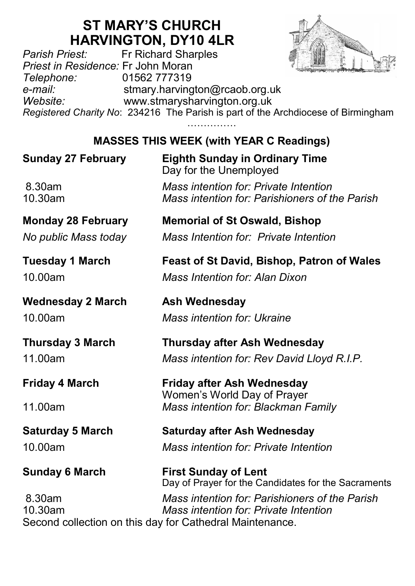# **ST MARY'S CHURCH HARVINGTON, DY10 4LR**<br>Fr Richard Sharples

*Parish Priest:* Fr Richard Sharples *Priest in Residence:* Fr John Moran *Telephone:* 01562 777319 *e-mail:* stmary.harvington@rcaob.org.uk *Website:* www.stmarysharvington.org.uk *Registered Charity No*: 234216 The Parish is part of the Archdiocese of Birmingham ……………

**MASSES THIS WEEK (with YEAR C Readings)** 

## **Sunday 27 February Eighth Sunday in Ordinary Time** Day for the Unemployed 8.30am *Mass intention for: Private Intention*  10.30am *Mass intention for: Parishioners of the Parish* **Monday 28 February Memorial of St Oswald, Bishop** *No public Mass today Mass Intention for: Private Intention* **Tuesday 1 March Feast of St David, Bishop, Patron of Wales** 10.00am *Mass Intention for: Alan Dixon* **Wednesday 2 March Ash Wednesday** 10.00am *Mass intention for: Ukraine*  **Thursday 3 March Thursday after Ash Wednesday** 11.00am *Mass intention for: Rev David Lloyd R.I.P.* **Friday 4 March Friday after Ash Wednesday** Women's World Day of Prayer 11.00am *Mass intention for: Blackman Family* **Saturday 5 March Saturday after Ash Wednesday** 10.00am *Mass intention for: Private Intention* **Sunday 6 March First Sunday of Lent** Day of Prayer for the Candidates for the Sacraments 8.30am *Mass intention for: Parishioners of the Parish* 10.30am *Mass intention for: Private Intention* Second collection on this day for Cathedral Maintenance.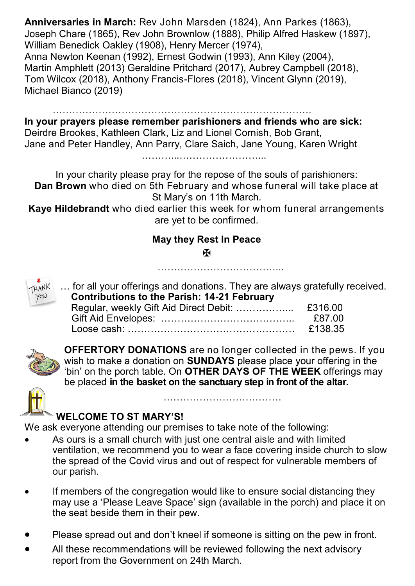**Anniversaries in March:** Rev John Marsden (1824), Ann Parkes (1863), Joseph Chare (1865), Rev John Brownlow (1888), Philip Alfred Haskew (1897), William Benedick Oakley (1908), Henry Mercer (1974), Anna Newton Keenan (1992), Ernest Godwin (1993), Ann Kiley (2004), Martin Amphlett (2013) Geraldine Pritchard (2017), Aubrey Campbell (2018), Tom Wilcox (2018), Anthony Francis-Flores (2018), Vincent Glynn (2019), Michael Bianco (2019)

…………………………………………………………………….

**In your prayers please remember parishioners and friends who are sick:**  Deirdre Brookes, Kathleen Clark, Liz and Lionel Cornish, Bob Grant, Jane and Peter Handley, Ann Parry, Clare Saich, Jane Young, Karen Wright

 $\mathcal{L}_{\mathcal{M}}$  . The contract of the contract of the contract of the contract of the contract of the contract of

In your charity please pray for the repose of the souls of parishioners: **Dan Brown** who died on 5th February and whose funeral will take place at St Mary's on 11th March.

**Kaye Hildebrandt** who died earlier this week for whom funeral arrangements are yet to be confirmed.

#### **May they Rest In Peace**

Ж



... for all your offerings and donations. They are always gratefully received.  **Contributions to the Parish: 14-21 February**

……………………………………

|  | £87.00  |
|--|---------|
|  | £138.35 |



**OFFERTORY DONATIONS** are no longer collected in the pews. If you wish to make a donation on **SUNDAYS** please place your offering in the 'bin' on the porch table. On **OTHER DAYS OF THE WEEK** offerings may be placed **in the basket on the sanctuary step in front of the altar.** 

………………………………



#### **WELCOME TO ST MARY'S!**

We ask everyone attending our premises to take note of the following:

- As ours is a small church with just one central aisle and with limited ventilation, we recommend you to wear a face covering inside church to slow the spread of the Covid virus and out of respect for vulnerable members of our parish.
- If members of the congregation would like to ensure social distancing they may use a 'Please Leave Space' sign (available in the porch) and place it on the seat beside them in their pew.
- Please spread out and don't kneel if someone is sitting on the pew in front.
- All these recommendations will be reviewed following the next advisory report from the Government on 24th March.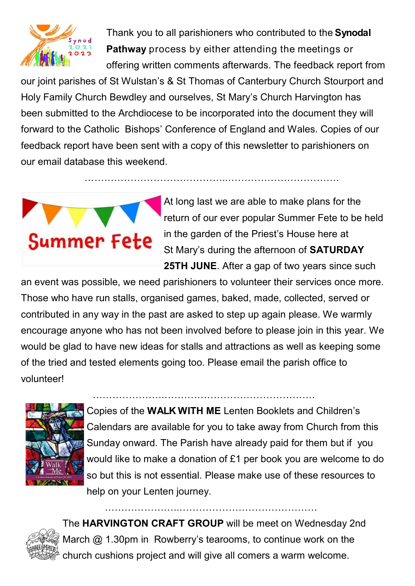

Thank you to all parishioners who contributed to the **Synodal Pathway** process by either attending the meetings or offering written comments afterwards. The feedback report from

our joint parishes of St Wulstan's & St Thomas of Canterbury Church Stourport and Holy Family Church Bewdley and ourselves, St Mary's Church Harvington has been submitted to the Archdiocese to be incorporated into the document they will forward to the Catholic Bishops' Conference of England and Wales. Copies of our feedback report have been sent with a copy of this newsletter to parishioners on our email database this weekend.

……………………………………..…………………………….



At long last we are able to make plans for the return of our ever popular Summer Fete to be held in the garden of the Priest's House here at St Mary's during the afternoon of **SATURDAY 25TH JUNE**. After a gap of two years since such

an event was possible, we need parishioners to volunteer their services once more. Those who have run stalls, organised games, baked, made, collected, served or contributed in any way in the past are asked to step up again please. We warmly encourage anyone who has not been involved before to please join in this year. We would be glad to have new ideas for stalls and attractions as well as keeping some of the tried and tested elements going too. Please email the parish office to volunteer!



Copies of the **WALK WITH ME** Lenten Booklets and Children's Calendars are available for you to take away from Church from this Sunday onward. The Parish have already paid for them but if you would like to make a donation of £1 per book you are welcome to do so but this is not essential. Please make use of these resources to help on your Lenten journey.

………………….……………………………………….



The **HARVINGTON CRAFT GROUP** will be meet on Wednesday 2nd March @ 1.30pm in Rowberry's tearooms, to continue work on the church cushions project and will give all comers a warm welcome.